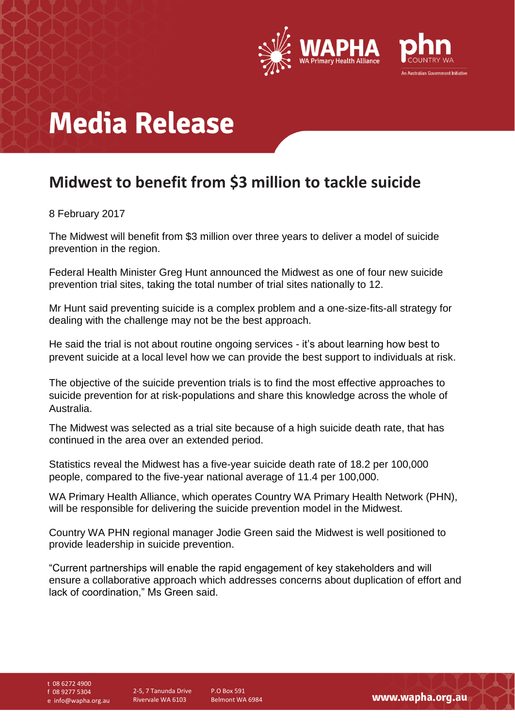

# **Media Release**

### **Midwest to benefit from \$3 million to tackle suicide**

#### 8 February 2017

The Midwest will benefit from \$3 million over three years to deliver a model of suicide prevention in the region.

Federal Health Minister Greg Hunt announced the Midwest as one of four new suicide prevention trial sites, taking the total number of trial sites nationally to 12.

Mr Hunt said preventing suicide is a complex problem and a one-size-fits-all strategy for dealing with the challenge may not be the best approach.

He said the trial is not about routine ongoing services - it's about learning how best to prevent suicide at a local level how we can provide the best support to individuals at risk.

The objective of the suicide prevention trials is to find the most effective approaches to suicide prevention for at risk-populations and share this knowledge across the whole of Australia.

The Midwest was selected as a trial site because of a high suicide death rate, that has continued in the area over an extended period.

Statistics reveal the Midwest has a five-year suicide death rate of 18.2 per 100,000 people, compared to the five-year national average of 11.4 per 100,000.

WA Primary Health Alliance, which operates Country WA Primary Health Network (PHN), will be responsible for delivering the suicide prevention model in the Midwest.

Country WA PHN regional manager Jodie Green said the Midwest is well positioned to provide leadership in suicide prevention.

"Current partnerships will enable the rapid engagement of key stakeholders and will ensure a collaborative approach which addresses concerns about duplication of effort and lack of coordination," Ms Green said.

t 08 6272 4900

f 08 9277 5304

e info@wapha.org.au

P.O Box 591 Belmont WA 6984

www.wapha.org.au